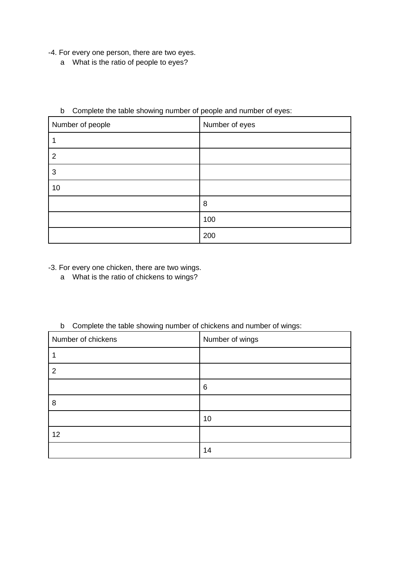- -4. For every one person, there are two eyes.
	- a What is the ratio of people to eyes?

| $\tilde{\phantom{a}}$ | . .            |
|-----------------------|----------------|
| Number of people      | Number of eyes |
| 1                     |                |
| $\overline{2}$        |                |
| 3                     |                |
| 10                    |                |
|                       | 8              |
|                       | 100            |
|                       | 200            |

### b Complete the table showing number of people and number of eyes:

-3. For every one chicken, there are two wings.

a What is the ratio of chickens to wings?

b Complete the table showing number of chickens and number of wings:

| Number of chickens | Number of wings |
|--------------------|-----------------|
|                    |                 |
| $\overline{2}$     |                 |
|                    | 6               |
| 8                  |                 |
|                    | 10              |
| 12                 |                 |
|                    | 14              |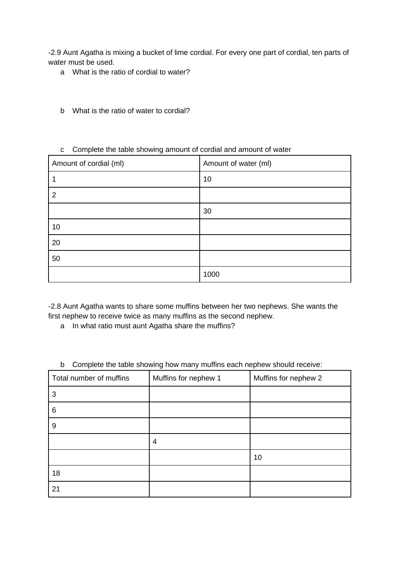-2.9 Aunt Agatha is mixing a bucket of lime cordial. For every one part of cordial, ten parts of water must be used.

- a What is the ratio of cordial to water?
- b What is the ratio of water to cordial?

#### c Complete the table showing amount of cordial and amount of water

| Amount of cordial (ml) | Amount of water (ml) |
|------------------------|----------------------|
|                        | 10                   |
| $\overline{2}$         |                      |
|                        | 30                   |
| 10                     |                      |
| 20                     |                      |
| 50                     |                      |
|                        | 1000                 |

-2.8 Aunt Agatha wants to share some muffins between her two nephews. She wants the first nephew to receive twice as many muffins as the second nephew.

a In what ratio must aunt Agatha share the muffins?

#### b Complete the table showing how many muffins each nephew should receive:

| Total number of muffins | Muffins for nephew 1 | Muffins for nephew 2 |
|-------------------------|----------------------|----------------------|
| 3                       |                      |                      |
| 6                       |                      |                      |
| 9                       |                      |                      |
|                         | 4                    |                      |
|                         |                      | 10                   |
| 18                      |                      |                      |
| 21                      |                      |                      |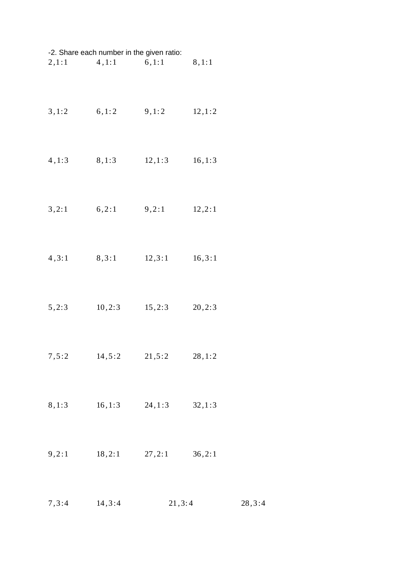| -2. Share each number in the given ratio: |                         |         |         |  |
|-------------------------------------------|-------------------------|---------|---------|--|
|                                           | $2,1:1$ $4,1:1$ $6,1:1$ |         | 8, 1:1  |  |
| 3, 1:2                                    | 6, 1:2                  | 9, 1: 2 | 12, 1:2 |  |
| 4, 1:3                                    | 8, 1:3                  | 12, 1:3 | 16, 1:3 |  |
| 3,2:1                                     | 6, 2:1                  | 9,2:1   | 12, 2:1 |  |
| 4, 3:1                                    | 8, 3:1                  | 12, 3:1 | 16, 3:1 |  |
| 5,2:3                                     | 10, 2:3                 | 15, 2:3 | 20, 2:3 |  |
| 7, 5:2                                    | 14,5:2                  | 21, 5:2 | 28, 1:2 |  |
| 8, 1:3                                    | 16,1:3                  | 24, 1:3 | 32, 1:3 |  |
| 9,2:1                                     | 18, 2:1                 | 27, 2:1 | 36, 2:1 |  |
|                                           |                         |         |         |  |

*,* 3 :4 14 *,* 3 :4 21 *,* 3: 4 28 *,* 3 :4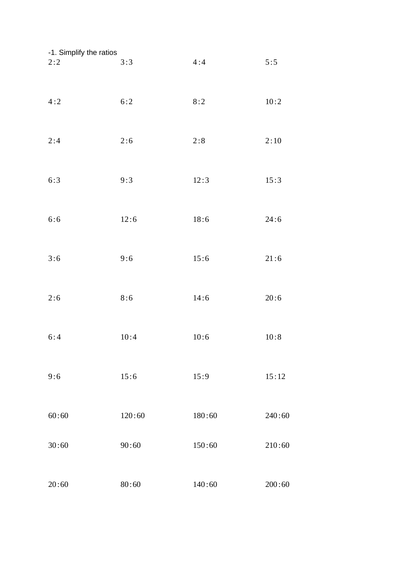| -1. Simplify the ratios<br>2:2 | 3:3    | 4:4    | 5:5    |
|--------------------------------|--------|--------|--------|
| 4:2                            | 6:2    | 8:2    | 10:2   |
| 2:4                            | 2:6    | 2:8    | 2:10   |
| 6:3                            | 9:3    | 12:3   | 15:3   |
| 6:6                            | 12:6   | 18:6   | 24:6   |
| 3:6                            | 9:6    | 15:6   | 21:6   |
| 2:6                            | 8:6    | 14:6   | 20:6   |
| 6:4                            | 10:4   | 10:6   | 10:8   |
| 9:6                            | 15:6   | 15:9   | 15:12  |
| 60:60                          | 120:60 | 180:60 | 240:60 |
| 30:60                          | 90:60  | 150:60 | 210:60 |
| 20:60                          | 80:60  | 140:60 | 200:60 |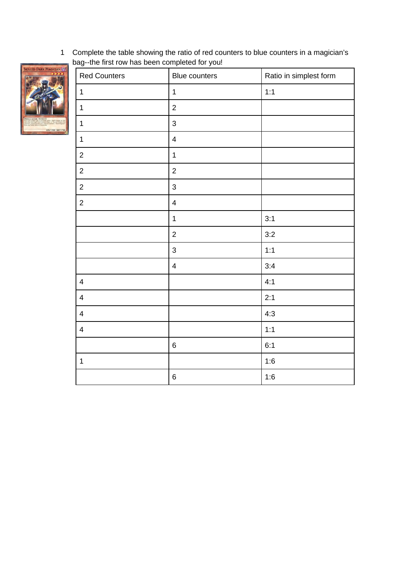Complete the table showing the ratio of red counters to blue counters in a magician's bag--the first row has been completed for you!



| <b>Red Counters</b>     | Blue counters           | Ratio in simplest form |
|-------------------------|-------------------------|------------------------|
| $\mathbf 1$             | $\mathbf 1$             | 1:1                    |
| $\mathbf 1$             | $\overline{2}$          |                        |
| $\mathbf 1$             | 3                       |                        |
| $\mathbf 1$             | $\pmb{4}$               |                        |
| $\overline{c}$          | $\mathbf 1$             |                        |
| $\mathbf{2}$            | $\overline{c}$          |                        |
| $\overline{c}$          | 3                       |                        |
| $\mathbf{2}$            | $\pmb{4}$               |                        |
|                         | $\mathbf 1$             | 3:1                    |
|                         | $\overline{c}$          | 3:2                    |
|                         | 3                       | 1:1                    |
|                         | $\overline{\mathbf{4}}$ | 3:4                    |
| $\overline{4}$          |                         | 4:1                    |
| $\overline{\mathbf{4}}$ |                         | 2:1                    |
| $\pmb{4}$               |                         | 4:3                    |
| $\pmb{4}$               |                         | 1:1                    |
|                         | $\,6\,$                 | 6:1                    |
| $\mathbf 1$             |                         | 1:6                    |
|                         | $\,6$                   | $1:6$                  |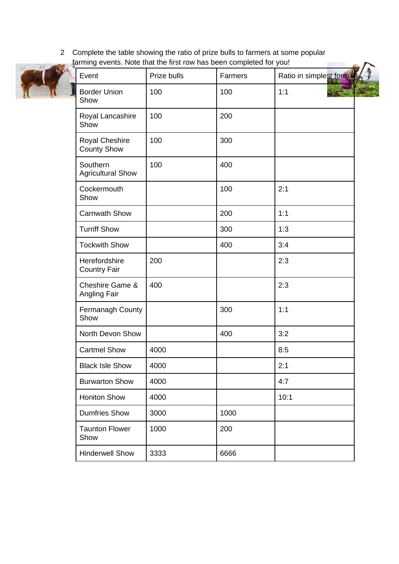2 Complete the table showing the ratio of prize bulls to farmers at some popular farming events. Note that the first row has been completed for you!



| Event                                | Prize bulls | Farmers | Ratio in simplest form |
|--------------------------------------|-------------|---------|------------------------|
| <b>Border Union</b><br>Show          | 100         | 100     | 1:1                    |
| Royal Lancashire<br>Show             | 100         | 200     |                        |
| Royal Cheshire<br><b>County Show</b> | 100         | 300     |                        |
| Southern<br><b>Agricultural Show</b> | 100         | 400     |                        |
| Cockermouth<br>Show                  |             | 100     | 2:1                    |
| <b>Carnwath Show</b>                 |             | 200     | 1:1                    |
| <b>Turriff Show</b>                  |             | 300     | 1:3                    |
| <b>Tockwith Show</b>                 |             | 400     | 3:4                    |
| Herefordshire<br><b>Country Fair</b> | 200         |         | 2:3                    |
| Cheshire Game &<br>Angling Fair      | 400         |         | 2:3                    |
| Fermanagh County<br>Show             |             | 300     | 1:1                    |
| North Devon Show                     |             | 400     | 3:2                    |
| <b>Cartmel Show</b>                  | 4000        |         | 8:5                    |
| <b>Black Isle Show</b>               | 4000        |         | 2:1                    |
| <b>Burwarton Show</b>                | 4000        |         | 4:7                    |
| <b>Honiton Show</b>                  | 4000        |         | 10:1                   |
| <b>Dumfries Show</b>                 | 3000        | 1000    |                        |
| <b>Taunton Flower</b><br>Show        | 1000        | 200     |                        |
| <b>Hinderwell Show</b>               | 3333        | 6666    |                        |
|                                      |             |         |                        |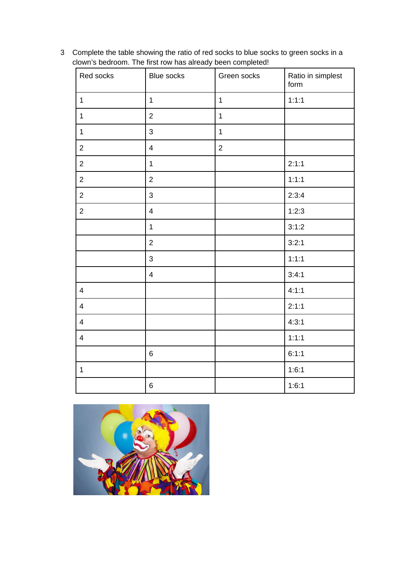Complete the table showing the ratio of red socks to blue socks to green socks in a clown's bedroom. The first row has already been completed!

| Red socks      | <b>Blue socks</b>        | Green socks    | Ratio in simplest<br>form |
|----------------|--------------------------|----------------|---------------------------|
| $\mathbf 1$    | $\mathbf 1$              | $\mathbf{1}$   | 1:1:1                     |
| $\mathbf 1$    | $\overline{2}$           | $\mathbf{1}$   |                           |
| $\mathbf 1$    | 3                        | $\mathbf{1}$   |                           |
| $\overline{2}$ | $\overline{\mathbf{4}}$  | $\overline{2}$ |                           |
| $\overline{c}$ | $\mathbf{1}$             |                | 2:1:1                     |
| $\overline{c}$ | $\overline{c}$           |                | 1:1:1                     |
| $\overline{c}$ | 3                        |                | 2:3:4                     |
| $\overline{2}$ | $\overline{\mathcal{A}}$ |                | 1:2:3                     |
|                | $\mathbf 1$              |                | 3:1:2                     |
|                | $\overline{2}$           |                | 3:2:1                     |
|                | 3                        |                | 1:1:1                     |
|                | $\overline{\mathbf{4}}$  |                | 3:4:1                     |
| $\overline{4}$ |                          |                | 4:1:1                     |
| $\overline{4}$ |                          |                | 2:1:1                     |
| $\overline{4}$ |                          |                | 4:3:1                     |
| $\overline{4}$ |                          |                | 1:1:1                     |
|                | $\,6\,$                  |                | 6:1:1                     |
| $\mathbf 1$    |                          |                | 1:6:1                     |
|                | $\,6$                    |                | 1:6:1                     |

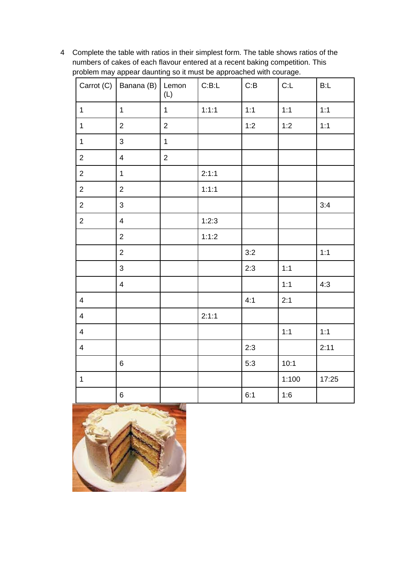Complete the table with ratios in their simplest form. The table shows ratios of the numbers of cakes of each flavour entered at a recent baking competition. This problem may appear daunting so it must be approached with courage.

|                          | Carrot (C)   Banana (B)   Lemon | (L)            | C:B:L | C:B   | C:L   | B:L   |
|--------------------------|---------------------------------|----------------|-------|-------|-------|-------|
| $\mathbf 1$              | $\mathbf{1}$                    | $\mathbf 1$    | 1:1:1 | $1:1$ | $1:1$ | $1:1$ |
| $\mathbf 1$              | $\overline{2}$                  | $\overline{2}$ |       | 1:2   | 1:2   | 1:1   |
| $\mathbf 1$              | 3                               | $\mathbf 1$    |       |       |       |       |
| $\overline{c}$           | $\overline{4}$                  | $\overline{2}$ |       |       |       |       |
| $\overline{2}$           | $\mathbf 1$                     |                | 2:1:1 |       |       |       |
| $\overline{2}$           | $\overline{2}$                  |                | 1:1:1 |       |       |       |
| $\overline{2}$           | 3                               |                |       |       |       | 3:4   |
| $\overline{c}$           | $\overline{\mathcal{A}}$        |                | 1:2:3 |       |       |       |
|                          | $\overline{2}$                  |                | 1:1:2 |       |       |       |
|                          | $\overline{c}$                  |                |       | 3:2   |       | 1:1   |
|                          | 3                               |                |       | 2:3   | $1:1$ |       |
|                          | $\overline{4}$                  |                |       |       | $1:1$ | 4:3   |
| $\overline{4}$           |                                 |                |       | 4:1   | 2:1   |       |
| $\overline{4}$           |                                 |                | 2:1:1 |       |       |       |
| $\overline{\mathcal{A}}$ |                                 |                |       |       | 1:1   | $1:1$ |
| $\overline{4}$           |                                 |                |       | 2:3   |       | 2:11  |
|                          | $\,6\,$                         |                |       | 5:3   | 10:1  |       |
| $\mathbf 1$              |                                 |                |       |       | 1:100 | 17:25 |
|                          | $\,6\,$                         |                |       | 6:1   | 1:6   |       |

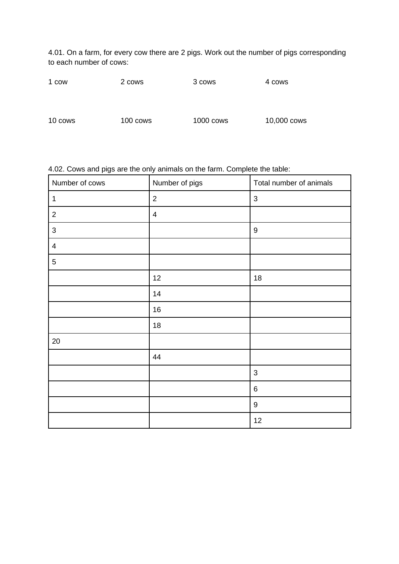4.01. On a farm, for every cow there are 2 pigs. Work out the number of pigs corresponding to each number of cows:

| 1 cow | 2 cows | 3 cows | 4 cows |
|-------|--------|--------|--------|
|       |        |        |        |

10 cows 100 cows 1000 cows 10,000 cows

| 4.02. Cows and pigs are the only animals on the farm. Complete the table: |                |                         |  |
|---------------------------------------------------------------------------|----------------|-------------------------|--|
| I Number of cows                                                          | Number of pigs | Total number of animals |  |
|                                                                           |                |                         |  |

| $\mathbf 1$    | $\overline{c}$ | $\mathsf{3}$     |
|----------------|----------------|------------------|
| $\overline{c}$ | $\overline{4}$ |                  |
| $\mathsf{3}$   |                | $\boldsymbol{9}$ |
| $\overline{4}$ |                |                  |
| 5              |                |                  |
|                | 12             | $18\,$           |
|                | 14             |                  |
|                | 16             |                  |
|                | $18\,$         |                  |
| 20             |                |                  |
|                | 44             |                  |
|                |                | $\mathsf{3}$     |
|                |                | $\,6\,$          |
|                |                | $\boldsymbol{9}$ |
|                |                | 12               |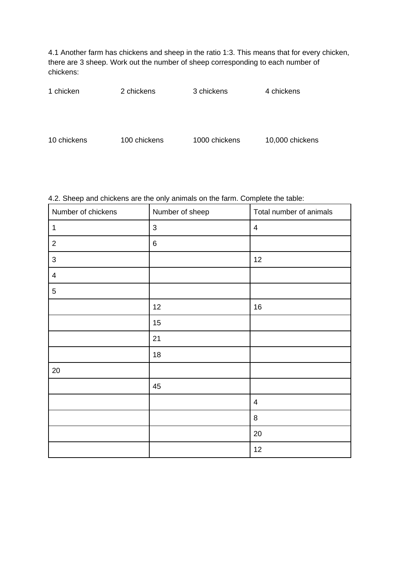4.1 Another farm has chickens and sheep in the ratio 1:3. This means that for every chicken, there are 3 sheep. Work out the number of sheep corresponding to each number of chickens:

| 1 chicken   | 2 chickens   | 3 chickens    | 4 chickens      |
|-------------|--------------|---------------|-----------------|
|             |              |               |                 |
|             |              |               |                 |
| 10 chickens | 100 chickens | 1000 chickens | 10,000 chickens |

## 4.2. Sheep and chickens are the only animals on the farm. Complete the table:

| Number of chickens | Number of sheep | Total number of animals |
|--------------------|-----------------|-------------------------|
| $\mathbf{1}$       | $\mathsf 3$     | 4                       |
| $\mathbf{2}$       | 6               |                         |
| $\mathsf{3}$       |                 | 12                      |
| 4                  |                 |                         |
| 5                  |                 |                         |
|                    | 12              | $16\,$                  |
|                    | 15              |                         |
|                    | 21              |                         |
|                    | 18              |                         |
| 20                 |                 |                         |
|                    | 45              |                         |
|                    |                 | 4                       |
|                    |                 | 8                       |
|                    |                 | 20                      |
|                    |                 | 12                      |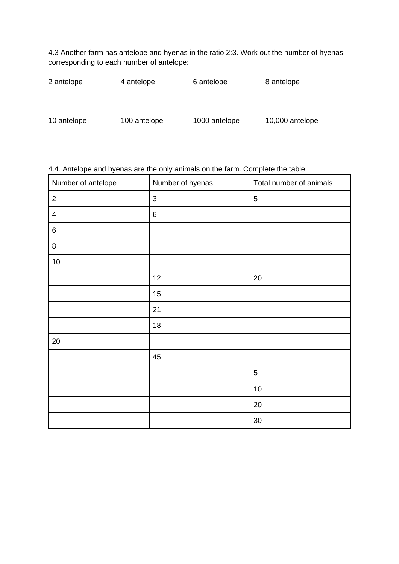4.3 Another farm has antelope and hyenas in the ratio 2:3. Work out the number of hyenas corresponding to each number of antelope:

| 2 antelope  | 4 antelope   | 6 antelope    | 8 antelope      |
|-------------|--------------|---------------|-----------------|
|             |              |               |                 |
| 10 antelope | 100 antelope | 1000 antelope | 10,000 antelope |

| Number of antelope | Number of hyenas | Total number of animals |
|--------------------|------------------|-------------------------|
| $\overline{c}$     | 3                | $5\phantom{.}$          |
| $\overline{4}$     | 6                |                         |
| $\,6\,$            |                  |                         |
| 8                  |                  |                         |
| 10                 |                  |                         |
|                    | 12               | 20                      |
|                    | 15               |                         |
|                    | 21               |                         |
|                    | 18               |                         |
| 20                 |                  |                         |
|                    | 45               |                         |
|                    |                  | 5                       |
|                    |                  | $10\,$                  |
|                    |                  | $20\,$                  |
|                    |                  | $30\,$                  |

# 4.4. Antelope and hyenas are the only animals on the farm. Complete the table: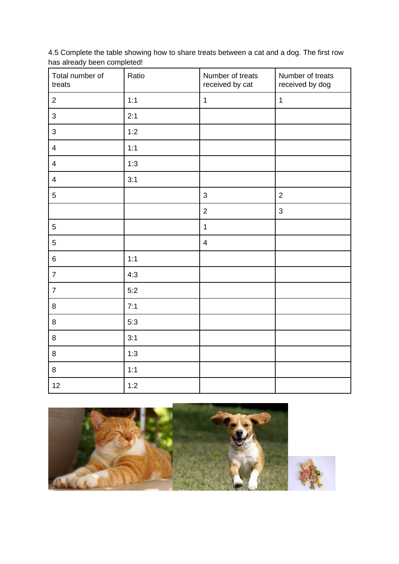4.5 Complete the table showing how to share treats between a cat and a dog. The first row has already been completed!

| Total number of<br>treats | Ratio | Number of treats<br>received by cat | Number of treats<br>received by dog |
|---------------------------|-------|-------------------------------------|-------------------------------------|
| $\overline{2}$            | 1:1   | $\mathbf 1$                         | $\mathbf 1$                         |
| 3                         | 2:1   |                                     |                                     |
| 3                         | 1:2   |                                     |                                     |
| $\overline{4}$            | 1:1   |                                     |                                     |
| $\overline{4}$            | 1:3   |                                     |                                     |
| $\overline{\mathbf{4}}$   | 3:1   |                                     |                                     |
| 5                         |       | 3                                   | $\overline{2}$                      |
|                           |       | $\overline{2}$                      | 3                                   |
| 5                         |       | $\mathbf 1$                         |                                     |
| 5                         |       | $\overline{4}$                      |                                     |
| $\,6\,$                   | 1:1   |                                     |                                     |
| $\overline{7}$            | 4:3   |                                     |                                     |
| $\overline{7}$            | 5:2   |                                     |                                     |
| 8                         | 7:1   |                                     |                                     |
| 8                         | 5:3   |                                     |                                     |
| 8                         | 3:1   |                                     |                                     |
| 8                         | 1:3   |                                     |                                     |
| 8                         | 1:1   |                                     |                                     |
| 12                        | 1:2   |                                     |                                     |

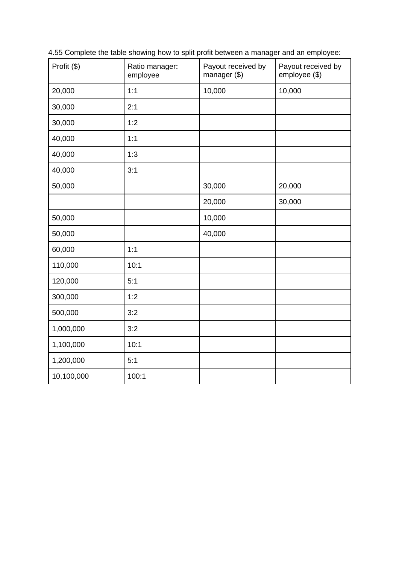Profit (\$) Ratio manager: employee Payout received by manager (\$) Payout received by employee (\$) 20,000 1:1 1:1 10,000 10,000 30,000 2:1 30,000 1:2 40,000 1:1 40,000 1:3 40,000 3:1 50,000 30,000 20,000 20,000 30,000 50,000 | 10,000 50,000 40,000 60,000 1:1 110,000 10:1 120,000 5:1 300,000 1:2 500,000 3:2 1,000,000 3:2 1,100,000 10:1 1,200,000 5:1 10,100,000 100:1

4.55 Complete the table showing how to split profit between a manager and an employee: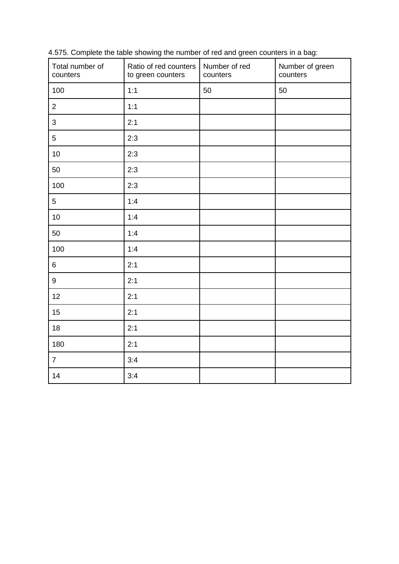| Total number of<br>counters | Ratio of red counters<br>to green counters | Number of red<br>counters | Number of green<br>counters |
|-----------------------------|--------------------------------------------|---------------------------|-----------------------------|
| 100                         | 1:1                                        | 50                        | 50                          |
| $\overline{2}$              | 1:1                                        |                           |                             |
| 3                           | 2:1                                        |                           |                             |
| 5                           | 2:3                                        |                           |                             |
| 10                          | 2:3                                        |                           |                             |
| 50                          | 2:3                                        |                           |                             |
| 100                         | 2:3                                        |                           |                             |
| 5                           | 1:4                                        |                           |                             |
| 10                          | 1:4                                        |                           |                             |
| 50                          | 1:4                                        |                           |                             |
| 100                         | 1:4                                        |                           |                             |
| $6\phantom{a}$              | 2:1                                        |                           |                             |
| 9                           | 2:1                                        |                           |                             |
| 12                          | 2:1                                        |                           |                             |
| 15                          | 2:1                                        |                           |                             |
| 18                          | 2:1                                        |                           |                             |
| 180                         | 2:1                                        |                           |                             |
| $\overline{7}$              | 3:4                                        |                           |                             |
| 14                          | 3:4                                        |                           |                             |

4.575. Complete the table showing the number of red and green counters in a bag: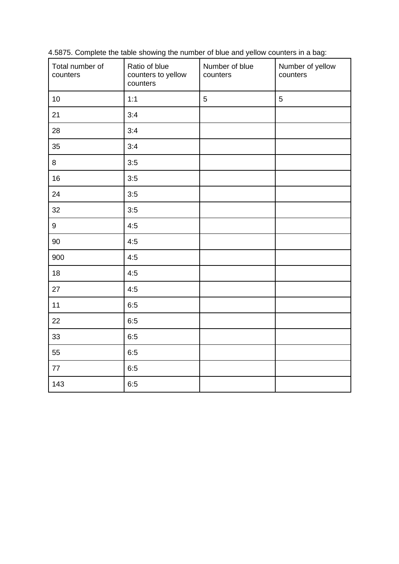| Total number of<br>counters | Ratio of blue<br>counters to yellow<br>counters | Number of blue<br>counters | Number of yellow<br>counters |
|-----------------------------|-------------------------------------------------|----------------------------|------------------------------|
| 10                          | 1:1                                             | 5                          | 5                            |
| 21                          | 3:4                                             |                            |                              |
| 28                          | 3:4                                             |                            |                              |
| 35                          | 3:4                                             |                            |                              |
| 8                           | 3:5                                             |                            |                              |
| 16                          | 3:5                                             |                            |                              |
| 24                          | 3:5                                             |                            |                              |
| 32                          | 3:5                                             |                            |                              |
| 9                           | 4:5                                             |                            |                              |
| 90                          | 4:5                                             |                            |                              |
| 900                         | 4:5                                             |                            |                              |
| 18                          | 4:5                                             |                            |                              |
| 27                          | 4:5                                             |                            |                              |
| 11                          | 6:5                                             |                            |                              |
| 22                          | 6:5                                             |                            |                              |
| 33                          | 6:5                                             |                            |                              |
| 55                          | 6:5                                             |                            |                              |
| $77\,$                      | 6:5                                             |                            |                              |
| 143                         | 6:5                                             |                            |                              |

4.5875. Complete the table showing the number of blue and yellow counters in a bag: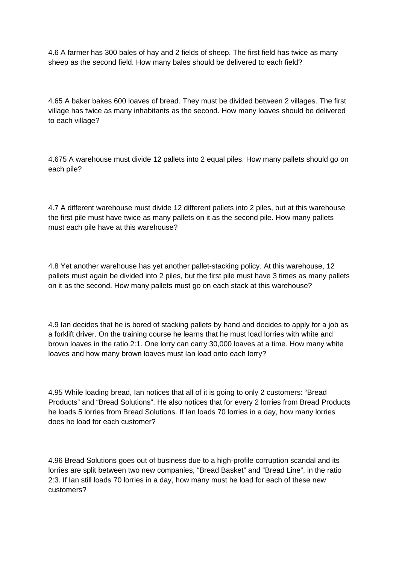4.6 A farmer has 300 bales of hay and 2 fields of sheep. The first field has twice as many sheep as the second field. How many bales should be delivered to each field?

4.65 A baker bakes 600 loaves of bread. They must be divided between 2 villages. The first village has twice as many inhabitants as the second. How many loaves should be delivered to each village?

4.675 A warehouse must divide 12 pallets into 2 equal piles. How many pallets should go on each pile?

4.7 A different warehouse must divide 12 different pallets into 2 piles, but at this warehouse the first pile must have twice as many pallets on it as the second pile. How many pallets must each pile have at this warehouse?

4.8 Yet another warehouse has yet another pallet-stacking policy. At this warehouse, 12 pallets must again be divided into 2 piles, but the first pile must have 3 times as many pallets on it as the second. How many pallets must go on each stack at this warehouse?

4.9 Ian decides that he is bored of stacking pallets by hand and decides to apply for a job as a forklift driver. On the training course he learns that he must load lorries with white and brown loaves in the ratio 2:1. One lorry can carry 30,000 loaves at a time. How many white loaves and how many brown loaves must Ian load onto each lorry?

4.95 While loading bread, Ian notices that all of it is going to only 2 customers: "Bread Products" and "Bread Solutions". He also notices that for every 2 lorries from Bread Products he loads 5 lorries from Bread Solutions. If Ian loads 70 lorries in a day, how many lorries does he load for each customer?

4.96 Bread Solutions goes out of business due to a high-profile corruption scandal and its lorries are split between two new companies, "Bread Basket" and "Bread Line", in the ratio 2:3. If Ian still loads 70 lorries in a day, how many must he load for each of these new customers?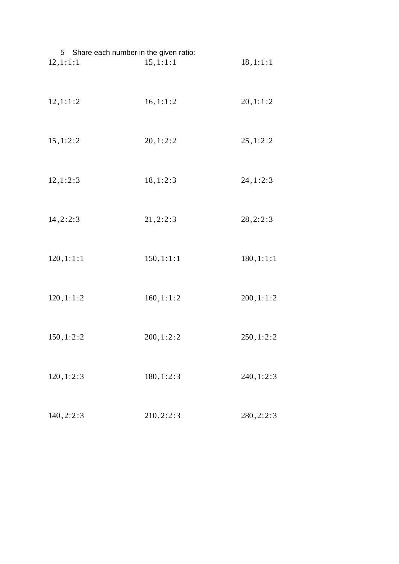| 5 Share each number in the given ratio: |            |            |
|-----------------------------------------|------------|------------|
| 12, 1:1:1                               | 15, 1:1:1  | 18, 1:1:1  |
| 12, 1:1:2                               | 16, 1:1:2  | 20, 1:1:2  |
| 15, 1:2:2                               | 20, 1:2:2  | 25, 1:2:2  |
| 12, 1:2:3                               | 18, 1:2:3  | 24, 1:2:3  |
| 14, 2:2:3                               | 21, 2:2:3  | 28, 2:2:3  |
| 120, 1:1:1                              | 150, 1:1:1 | 180, 1:1:1 |
| 120, 1:1:2                              | 160, 1:1:2 | 200, 1:1:2 |
| 150, 1:2:2                              | 200, 1:2:2 | 250, 1:2:2 |
| 120, 1:2:3                              | 180, 1:2:3 | 240, 1:2:3 |
| 140, 2: 2: 3                            | 210, 2:2:3 | 280, 2:2:3 |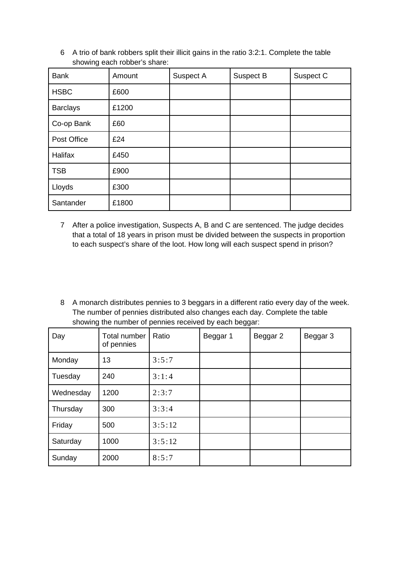6 A trio of bank robbers split their illicit gains in the ratio 3:2:1. Complete the table showing each robber's share:

| <b>Bank</b>     | Amount | Suspect A | Suspect B | Suspect C |
|-----------------|--------|-----------|-----------|-----------|
| <b>HSBC</b>     | £600   |           |           |           |
| <b>Barclays</b> | £1200  |           |           |           |
| Co-op Bank      | £60    |           |           |           |
| Post Office     | £24    |           |           |           |
| Halifax         | £450   |           |           |           |
| <b>TSB</b>      | £900   |           |           |           |
| Lloyds          | £300   |           |           |           |
| Santander       | £1800  |           |           |           |

- 7 After a police investigation, Suspects A, B and C are sentenced. The judge decides that a total of 18 years in prison must be divided between the suspects in proportion to each suspect's share of the loot. How long will each suspect spend in prison?
- 8 A monarch distributes pennies to 3 beggars in a different ratio every day of the week. The number of pennies distributed also changes each day. Complete the table showing the number of pennies received by each beggar:

| Day       | Total number<br>of pennies | Ratio  | Beggar 1 | Beggar 2 | Beggar 3 |
|-----------|----------------------------|--------|----------|----------|----------|
| Monday    | 13                         | 3:5:7  |          |          |          |
| Tuesday   | 240                        | 3:1:4  |          |          |          |
| Wednesday | 1200                       | 2:3:7  |          |          |          |
| Thursday  | 300                        | 3:3:4  |          |          |          |
| Friday    | 500                        | 3:5:12 |          |          |          |
| Saturday  | 1000                       | 3:5:12 |          |          |          |
| Sunday    | 2000                       | 8:5:7  |          |          |          |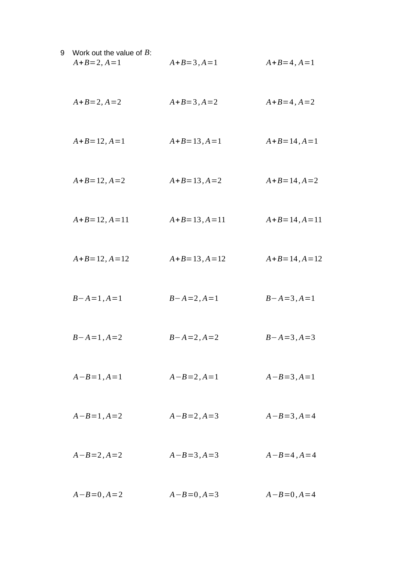9 Work out the value of *B*:  
\n
$$
A+B=2, A=1
$$
  
\n $A+B=2, A=2$   
\n $A+B=3, A=1$   
\n $A+B=4, A=1$   
\n $A+B=4, A=2$   
\n $A+B=12, A=1$   
\n $A+B=12, A=2$   
\n $A+B=13, A=1$   
\n $A+B=14, A=1$   
\n $A+B=14, A=2$   
\n $A+B=14, A=1$   
\n $A+B=14, A=1$   
\n $A+B=14, A=1$   
\n $A+B=14, A=1$   
\n $A+B=14, A=1$   
\n $B-A=1, A=1$   
\n $B-A=1, A=2$   
\n $B-A=1, A=2$   
\n $B-A=2, A=2$   
\n $B-A=3, A=1$   
\n $A-B=1, A=2$   
\n $A-B=1, A=2$   
\n $A-B=2, A=3$   
\n $A-B=3, A=4$   
\n $A-B=4, A=4$   
\n $A-B=0, A=2$   
\n $A-B=0, A=3$   
\n $A-B=4, A=4$   
\n $A-B=0, A=2$   
\n $A-B=0, A=4$   
\n $A-B=0, A=4$   
\n $A-B=0, A=4$   
\n $A-B=0, A=4$   
\n $A-B=0, A=4$   
\n $A-B=0, A=4$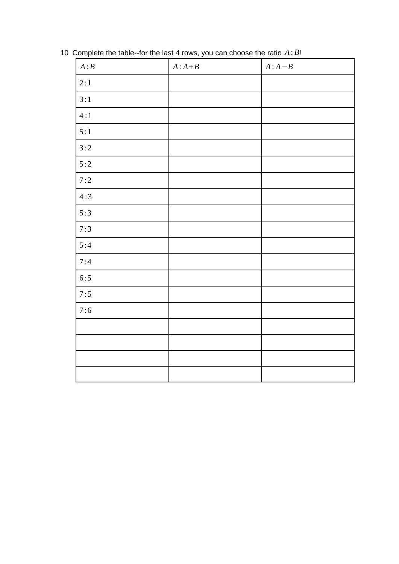| A:B   | $A:A+B$ | $A:A-B$ |
|-------|---------|---------|
| 2:1   |         |         |
| 3:1   |         |         |
| 4:1   |         |         |
| 5:1   |         |         |
| 3:2   |         |         |
| 5:2   |         |         |
| 7:2   |         |         |
| 4:3   |         |         |
| 5:3   |         |         |
| 7:3   |         |         |
| 5:4   |         |         |
| 7:4   |         |         |
| 6:5   |         |         |
| 7:5   |         |         |
| $7:6$ |         |         |
|       |         |         |
|       |         |         |
|       |         |         |
|       |         |         |

Complete the table--for the last 4 rows, you can choose the ratio *A*: *B*!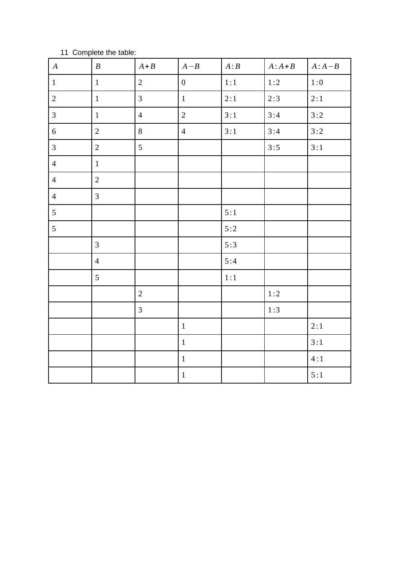| $\boldsymbol{A}$ | $\boldsymbol{B}$ | $A + B$        | $A - B$          | A:B | $A:A+B$ | $A:A-B$ |
|------------------|------------------|----------------|------------------|-----|---------|---------|
| $\mathbf{1}$     | $\mathbf{1}$     | $\overline{2}$ | $\boldsymbol{0}$ | 1:1 | 1:2     | $1:0$   |
| $\overline{2}$   | $1\,$            | $\mathbf{3}$   | $\mathbf{1}$     | 2:1 | 2:3     | 2:1     |
| $\mathbf{3}$     | $1\,$            | $\overline{4}$ | $\overline{2}$   | 3:1 | 3:4     | 3:2     |
| $\sqrt{6}$       | $\overline{2}$   | $\, 8$         | $\overline{4}$   | 3:1 | 3:4     | 3:2     |
| $\mathbf{3}$     | $\overline{2}$   | 5              |                  |     | 3:5     | 3:1     |
| $\overline{4}$   | $\mathbf{1}$     |                |                  |     |         |         |
| $\overline{4}$   | $\overline{2}$   |                |                  |     |         |         |
| $\overline{4}$   | $\overline{3}$   |                |                  |     |         |         |
| 5                |                  |                |                  | 5:1 |         |         |
| 5                |                  |                |                  | 5:2 |         |         |
|                  | 3                |                |                  | 5:3 |         |         |
|                  | $\overline{4}$   |                |                  | 5:4 |         |         |
|                  | 5                |                |                  | 1:1 |         |         |
|                  |                  | $\overline{2}$ |                  |     | 1:2     |         |
|                  |                  | $\mathbf{3}$   |                  |     | 1:3     |         |
|                  |                  |                | $\mathbf{1}$     |     |         | 2:1     |
|                  |                  |                | $\,1\,$          |     |         | 3:1     |
|                  |                  |                | $\mathbf 1$      |     |         | 4:1     |
|                  |                  |                | $\mathbf 1$      |     |         | 5:1     |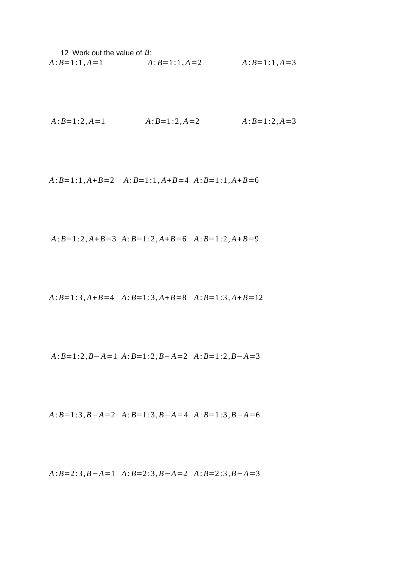12 Work out the value of *B*: *A*: *B*=1 :1*, A*=1 *A*: *B*=1:1*, A*=2 *A*: *B*=1 :1*, A*=3

$$
A:B=1:2, A=1
$$
  $A:B=1:2, A=2$   $A:B=1:2, A=3$ 

*A*: *B*=1 :1*, A*+*B*=2 *A*: *B*=1:1*, A*+*B*=4 *A*: *B*=1 :1*, A*+*B*=6

$$
A:B=1:2, A+B=3
$$
  $A:B=1:2, A+B=6$   $A:B=1:2, A+B=9$ 

*A*: *B*=1 :3*, A*+*B*=4 *A*: *B*=1 :3*, A*+*B*=8 *A*: *B*=1 :3*, A*+*B*=12

$$
A:B=1:2, B-A=1
$$
  $A:B=1:2, B-A=2$   $A:B=1:2, B-A=3$ 

*A*: *B*=1 :3 *,B*−*A*=2 *A*: *B*=1 :3*,B*−*A*=4 *A*: *B*=1 :3*,B*−*A*=6

*A*: *B*=2 :3 *,B*−*A*=1 *A*: *B*=2 :3*,B*−*A*=2 *A*: *B*=2 :3 *,B*−*A*=3